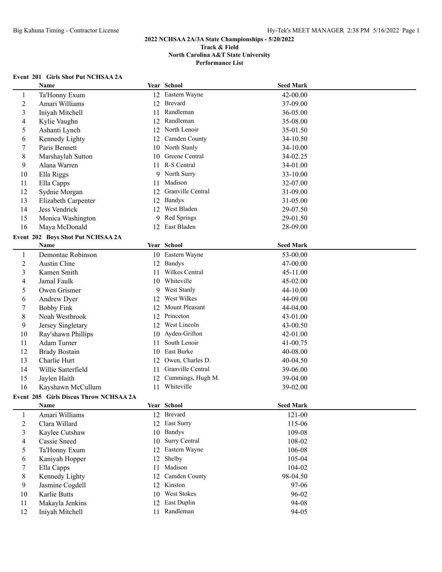# **Event 201 Girls Shot Put NCHSAA 2A**

|                | Name                                   |    | Year School        | <b>Seed Mark</b> |  |
|----------------|----------------------------------------|----|--------------------|------------------|--|
| $\mathbf{1}$   | Ta'Honny Exum                          |    | 12 Eastern Wayne   | 42-00.00         |  |
| $\overline{c}$ | Amari Williams                         |    | 12 Brevard         | 37-09.00         |  |
| 3              | Iniyah Mitchell                        | 11 | Randleman          | 36-05.00         |  |
| 4              | Kylie Vaughn                           |    | 12 Randleman       | 35-08.00         |  |
| 5              | Ashanti Lynch                          | 12 | North Lenoir       | 35-01.50         |  |
| 6              | Kennedy Lighty                         | 12 | Camden County      | 34-10.50         |  |
| $\tau$         | Paris Bennett                          |    | 10 North Stanly    | 34-10.00         |  |
| 8              | Marshaylah Sutton                      | 10 | Greene Central     | 34-02.25         |  |
| 9              | Alana Warren                           | 11 | R-S Central        | 34-01.00         |  |
| 10             | Ella Riggs                             | 9  | North Surry        | 33-10.00         |  |
| 11             | Ella Capps                             | 11 | Madison            | 32-07.00         |  |
| 12             | Sydnie Morgan                          | 12 | Granville Central  | 31-09.00         |  |
| 13             | Elizabeth Carpenter                    | 12 | Bandys             | 31-05.00         |  |
| 14             | Jess Vendrick                          | 12 | West Bladen        | 29-07.50         |  |
| 15             | Monica Washington                      | 9  | Red Springs        | 29-01.50         |  |
| 16             | Maya McDonald                          | 12 | East Bladen        | 28-09.00         |  |
|                | Event 202 Boys Shot Put NCHSAA 2A      |    |                    |                  |  |
|                | Name                                   |    | Year School        | <b>Seed Mark</b> |  |
| $\mathbf{1}$   | Demontae Robinson                      |    | 10 Eastern Wayne   | 53-00.00         |  |
| $\overline{2}$ | Austin Cline                           |    | 12 Bandys          | 47-00.00         |  |
| $\mathfrak{Z}$ | Kamen Smith                            | 11 | Wilkes Central     | 45-11.00         |  |
| 4              | Jamal Faulk                            | 10 | Whiteville         | 45-02.00         |  |
| 5              | Owen Grismer                           | 9  | <b>West Stanly</b> | 44-10.00         |  |
| 6              | Andrew Dyer                            | 12 | West Wilkes        | 44-09.00         |  |
| $\tau$         | <b>Bobby Fink</b>                      |    | 12 Mount Pleasant  | 44-04.00         |  |
| 8              | Noah Westbrook                         |    | 12 Princeton       | 43-01.00         |  |
| 9              | Jersey Singletary                      |    | 12 West Lincoln    | 43-00.50         |  |
| 10             | Ray'shawn Phillips                     |    | 10 Ayden-Grifton   | 42-01.00         |  |
| 11             | Adam Turner                            | 11 | South Lenoir       | 41-00.75         |  |
| 12             | <b>Brady Bostain</b>                   | 10 | East Burke         | 40-08.00         |  |
| 13             | Charlie Hurt                           | 12 | Owen, Charles D.   | 40-04.50         |  |
| 14             | Willie Satterfield                     | 11 | Granville Central  | 39-06.00         |  |
| 15             | Jaylen Haith                           | 12 | Cummings, Hugh M.  | 39-04.00         |  |
| 16             | Kayshawn McCullum                      | 11 | Whiteville         | 39-02.00         |  |
|                | Event 205 Girls Discus Throw NCHSAA 2A |    |                    |                  |  |
|                | Name                                   |    | Year School        | <b>Seed Mark</b> |  |
| $\mathbf{1}$   | Amari Williams                         |    | 12 Brevard         | $121 - 00$       |  |
| $\overline{2}$ | Clara Willard                          |    | 12 East Surry      | 115-06           |  |
| 3              | Kaylee Cutshaw                         | 10 | <b>Bandys</b>      | 109-08           |  |
| 4              | Cassie Sneed                           | 10 | Surry Central      | 108-02           |  |
| 5              | Ta'Honny Exum                          | 12 | Eastern Wayne      | 106-08           |  |
| 6              | Kaniyah Hopper                         | 12 | Shelby             | 105-04           |  |
| $\tau$         | Ella Capps                             | 11 | Madison            | 104-02           |  |
| 8              | Kennedy Lighty                         | 12 | Camden County      | 98-04.50         |  |
| 9              | Jasmine Cogdell                        |    | 12 Kinston         | 97-06            |  |
| 10             | Karlie Butts                           | 10 | West Stokes        | 96-02            |  |
| 11             | Makayla Jenkins                        | 12 | East Duplin        | 94-08            |  |
| 12             | Iniyah Mitchell                        |    | 11 Randleman       | 94-05            |  |
|                |                                        |    |                    |                  |  |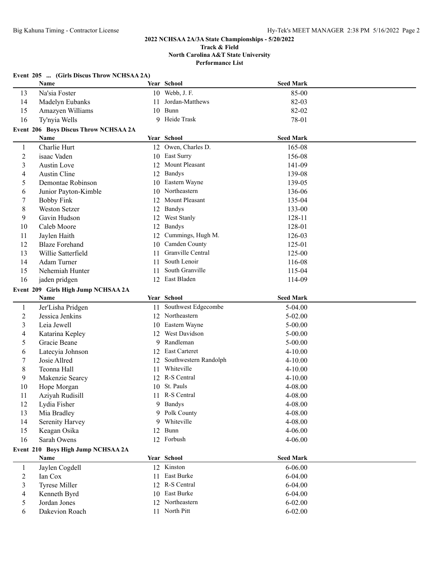**Performance List**

| r errormanec Ensc |
|-------------------|
|                   |
|                   |
|                   |

|              | Event 205  (Girls Discus Throw NCHSAA 2A) |    |                        |                  |  |
|--------------|-------------------------------------------|----|------------------------|------------------|--|
|              | Name                                      |    | Year School            | <b>Seed Mark</b> |  |
| 13           | Na'sia Foster                             |    | 10 Webb, J. F.         | 85-00            |  |
| 14           | Madelyn Eubanks                           | 11 | Jordan-Matthews        | 82-03            |  |
| 15           | Amazyen Williams                          | 10 | Bunn                   | 82-02            |  |
| 16           | Ty'nyia Wells                             |    | 9 Heide Trask          | 78-01            |  |
|              | Event 206 Boys Discus Throw NCHSAA 2A     |    |                        |                  |  |
|              | Name                                      |    | Year School            | <b>Seed Mark</b> |  |
| 1            | Charlie Hurt                              |    | 12 Owen, Charles D.    | 165-08           |  |
| 2            | isaac Vaden                               | 10 | East Surry             | 156-08           |  |
| 3            | Austin Love                               | 12 | Mount Pleasant         | 141-09           |  |
| 4            | Austin Cline                              | 12 | <b>Bandys</b>          | 139-08           |  |
| 5            | Demontae Robinson                         | 10 | Eastern Wayne          | 139-05           |  |
| 6            | Junior Payton-Kimble                      | 10 | Northeastern           | 136-06           |  |
| 7            | <b>Bobby Fink</b>                         | 12 | Mount Pleasant         | 135-04           |  |
| 8            | <b>Weston Setzer</b>                      |    | 12 Bandys              | 133-00           |  |
| 9            | Gavin Hudson                              |    | 12 West Stanly         | 128-11           |  |
| 10           | Caleb Moore                               |    | 12 Bandys              | 128-01           |  |
| 11           | Jaylen Haith                              | 12 | Cummings, Hugh M.      | 126-03           |  |
| 12           | <b>Blaze Forehand</b>                     |    | 10 Camden County       | 125-01           |  |
| 13           | Willie Satterfield                        | 11 | Granville Central      | 125-00           |  |
| 14           | Adam Turner                               | 11 | South Lenoir           | 116-08           |  |
| 15           | Nehemiah Hunter                           | 11 | South Granville        | 115-04           |  |
| 16           |                                           |    | 12 East Bladen         | 114-09           |  |
|              | jaden pridgen                             |    |                        |                  |  |
|              | Event 209 Girls High Jump NCHSAA 2A       |    |                        |                  |  |
|              | Name                                      |    | Year School            | <b>Seed Mark</b> |  |
| 1            | Jer'Lisha Pridgen                         |    | 11 Southwest Edgecombe | 5-04.00          |  |
| 2            | Jessica Jenkins                           |    | 12 Northeastern        | $5 - 02.00$      |  |
| 3            | Leia Jewell                               |    | 10 Eastern Wayne       | $5 - 00.00$      |  |
| 4            | Katarina Kepley                           | 12 | West Davidson          | 5-00.00          |  |
| 5            | Gracie Beane                              | 9  | Randleman              | $5 - 00.00$      |  |
| 6            | Latecyia Johnson                          | 12 | East Carteret          | $4 - 10.00$      |  |
| 7            | Josie Allred                              | 12 | Southwestern Randolph  | $4 - 10.00$      |  |
| 8            | Teonna Hall                               | 11 | Whiteville             | $4 - 10.00$      |  |
| 9            | Makenzie Searcy                           |    | 12 R-S Central         | $4 - 10.00$      |  |
| 10           | Hope Morgan                               |    | 10 St. Pauls           | 4-08.00          |  |
| 11           | Aziyah Rudisill                           |    | 11 R-S Central         | 4-08.00          |  |
| 12           | Lydia Fisher                              |    | 9 Bandys               | 4-08.00          |  |
| 13           | Mia Bradley                               |    | 9 Polk County          | 4-08.00          |  |
| 14           | Serenity Harvey                           | 9  | Whiteville             | 4-08.00          |  |
| 15           | Keagan Osika                              | 12 | Bunn                   | 4-06.00          |  |
| 16           | Sarah Owens                               |    | 12 Forbush             | 4-06.00          |  |
|              | Event 210 Boys High Jump NCHSAA 2A        |    |                        |                  |  |
|              | Name                                      |    | Year School            | <b>Seed Mark</b> |  |
| $\mathbf{1}$ | Jaylen Cogdell                            |    | 12 Kinston             | $6 - 06.00$      |  |
| 2            | Ian Cox                                   |    | 11 East Burke          | $6 - 04.00$      |  |
| 3            | <b>Tyrese Miller</b>                      |    | 12 R-S Central         | $6 - 04.00$      |  |
| 4            | Kenneth Byrd                              |    | 10 East Burke          | $6 - 04.00$      |  |
| 5            | Jordan Jones                              |    | 12 Northeastern        | $6 - 02.00$      |  |
| 6            | Dakevion Roach                            |    | 11 North Pitt          | $6 - 02.00$      |  |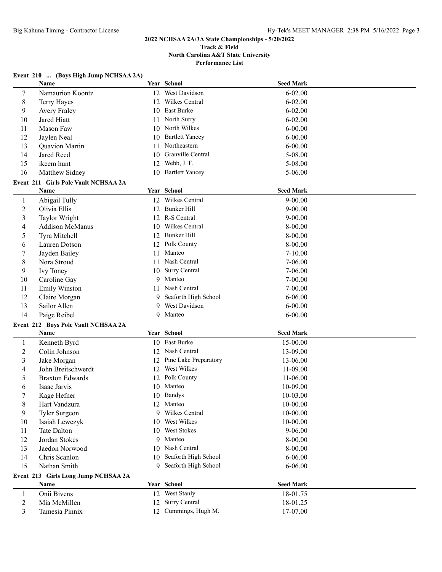## **Event 210 ... (Boys High Jump NCHSAA 2A)**

|                          | Name                                 |    | Year School            | <b>Seed Mark</b> |  |
|--------------------------|--------------------------------------|----|------------------------|------------------|--|
| 7                        | Namaurion Koontz                     |    | 12 West Davidson       | $6 - 02.00$      |  |
| 8                        | Terry Hayes                          | 12 | Wilkes Central         | $6 - 02.00$      |  |
| 9                        | <b>Avery Fraley</b>                  | 10 | East Burke             | $6 - 02.00$      |  |
| 10                       | Jared Hiatt                          | 11 | North Surry            | $6 - 02.00$      |  |
| 11                       | Mason Faw                            | 10 | North Wilkes           | $6 - 00.00$      |  |
| 12                       | Jaylen Neal                          | 10 | <b>Bartlett Yancey</b> | $6 - 00.00$      |  |
| 13                       | Quavion Martin                       | 11 | Northeastern           | $6 - 00.00$      |  |
| 14                       | Jared Reed                           | 10 | Granville Central      | 5-08.00          |  |
| 15                       | ikeem hunt                           |    | 12 Webb, J. F.         | 5-08.00          |  |
| 16                       | Matthew Sidney                       |    | 10 Bartlett Yancey     | 5-06.00          |  |
|                          | Event 211 Girls Pole Vault NCHSAA 2A |    |                        |                  |  |
|                          | Name                                 |    | Year School            | <b>Seed Mark</b> |  |
| 1                        | Abigail Tully                        |    | 12 Wilkes Central      | $9 - 00.00$      |  |
| $\overline{c}$           | Olivia Ellis                         |    | 12 Bunker Hill         | $9 - 00.00$      |  |
| 3                        | Taylor Wright                        |    | 12 R-S Central         | $9 - 00.00$      |  |
| $\overline{\mathcal{A}}$ | <b>Addison McManus</b>               |    | 10 Wilkes Central      | 8-00.00          |  |
| 5                        | Tyra Mitchell                        |    | 12 Bunker Hill         | 8-00.00          |  |
| 6                        | Lauren Dotson                        |    | 12 Polk County         | 8-00.00          |  |
| 7                        | Jayden Bailey                        | 11 | Manteo                 | 7-10.00          |  |
| 8                        | Nora Stroud                          |    | 11 Nash Central        | 7-06.00          |  |
| 9                        | Ivy Toney                            | 10 | Surry Central          | $7 - 06.00$      |  |
| 10                       | Caroline Gay                         | 9  | Manteo                 | $7 - 00.00$      |  |
| 11                       | <b>Emily Winston</b>                 | 11 | Nash Central           | $7 - 00.00$      |  |
| 12                       | Claire Morgan                        |    | 9 Seaforth High School | $6 - 06.00$      |  |
| 13                       | Sailor Allen                         | 9  | West Davidson          | $6 - 00.00$      |  |
| 14                       | Paige Reibel                         | 9. | Manteo                 | $6 - 00.00$      |  |
|                          | Event 212 Boys Pole Vault NCHSAA 2A  |    |                        |                  |  |
|                          | Name                                 |    | Year School            | <b>Seed Mark</b> |  |
| $\mathbf{1}$             | Kenneth Byrd                         |    | 10 East Burke          | 15-00.00         |  |
| $\overline{c}$           | Colin Johnson                        |    | 12 Nash Central        | 13-09.00         |  |
| 3                        | Jake Morgan                          | 12 | Pine Lake Preparatory  | 13-06.00         |  |
| 4                        | John Breitschwerdt                   | 12 | West Wilkes            | 11-09.00         |  |
| 5                        | <b>Braxton Edwards</b>               |    | 12 Polk County         | 11-06.00         |  |
| 6                        | Isaac Jarvis                         |    | 10 Manteo              | 10-09.00         |  |
| 7                        | Kage Hefner                          |    | 10 Bandys              | 10-03.00         |  |
| 8                        | Hart Vandzura                        |    | 12 Manteo              | 10-00.00         |  |
| 9                        | Tyler Surgeon                        |    | 9 Wilkes Central       | $10 - 00.00$     |  |
| 10                       | Isaiah Lewczyk                       |    | 10 West Wilkes         | 10-00.00         |  |
| 11                       | Tate Dalton                          |    | 10 West Stokes         | 9-06.00          |  |
| 12                       | Jordan Stokes                        | 9  | Manteo                 | 8-00.00          |  |
| 13                       | Jaedon Norwood                       | 10 | Nash Central           | 8-00.00          |  |
| 14                       | Chris Scanlon                        | 10 | Seaforth High School   | $6 - 06.00$      |  |
| 15                       | Nathan Smith                         | 9  | Seaforth High School   | $6 - 06.00$      |  |
|                          | Event 213 Girls Long Jump NCHSAA 2A  |    |                        |                  |  |
|                          | Name                                 |    | Year School            | <b>Seed Mark</b> |  |
| $\mathbf{1}$             | Onii Bivens                          |    | 12 West Stanly         | 18-01.75         |  |
| $\overline{c}$           | Mia McMillen                         |    | 12 Surry Central       | 18-01.25         |  |
| 3                        | Tamesia Pinnix                       |    | 12 Cummings, Hugh M.   | 17-07.00         |  |
|                          |                                      |    |                        |                  |  |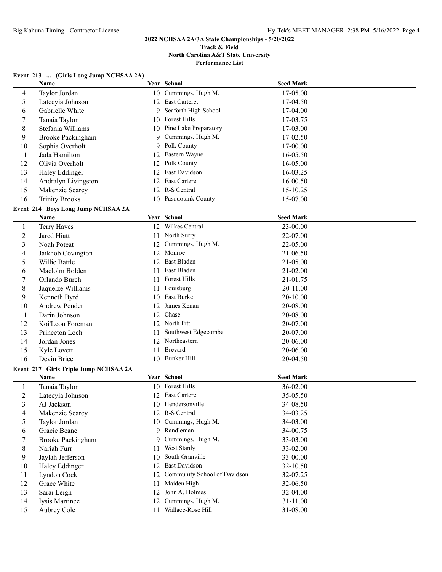**Performance List**

### **Event 213 ... (Girls Long Jump NCHSAA 2A)**

|              | Name                                       |    | Year School                  | <b>Seed Mark</b> |  |
|--------------|--------------------------------------------|----|------------------------------|------------------|--|
| 4            | Taylor Jordan                              |    | 10 Cummings, Hugh M.         | 17-05.00         |  |
| 5            | Latecyia Johnson                           |    | 12 East Carteret             | 17-04.50         |  |
| 6            | Gabrielle White                            | 9  | Seaforth High School         | 17-04.00         |  |
| 7            | Tanaia Taylor                              |    | 10 Forest Hills              | 17-03.75         |  |
| 8            | Stefania Williams                          |    | 10 Pine Lake Preparatory     | 17-03.00         |  |
| 9            | <b>Brooke Packingham</b>                   | 9  | Cummings, Hugh M.            | 17-02.50         |  |
| 10           | Sophia Overholt                            | 9  | Polk County                  | 17-00.00         |  |
| 11           | Jada Hamilton                              | 12 | Eastern Wayne                | 16-05.50         |  |
| 12           | Olivia Overholt                            | 12 | Polk County                  | 16-05.00         |  |
| 13           | Haley Eddinger                             | 12 | East Davidson                | 16-03.25         |  |
| 14           | Andralyn Livingston                        | 12 | East Carteret                | 16-00.50         |  |
| 15           | Makenzie Searcy                            |    | 12 R-S Central               | 15-10.25         |  |
| 16           | <b>Trinity Brooks</b>                      |    | 10 Pasquotank County         | 15-07.00         |  |
|              |                                            |    |                              |                  |  |
|              | Event 214 Boys Long Jump NCHSAA 2A<br>Name |    | Year School                  |                  |  |
|              |                                            |    |                              | <b>Seed Mark</b> |  |
| $\mathbf{1}$ | Terry Hayes                                |    | 12 Wilkes Central            | 23-00.00         |  |
| 2            | Jared Hiatt                                |    | 11 North Surry               | 22-07.00         |  |
| 3            | Noah Poteat                                | 12 | Cummings, Hugh M.            | 22-05.00         |  |
| 4            | Jaikhob Covington                          |    | 12 Monroe                    | 21-06.50         |  |
| 5            | Willie Battle                              |    | 12 East Bladen               | 21-05.00         |  |
| 6            | Maclolm Bolden                             |    | 11 East Bladen               | 21-02.00         |  |
| 7            | Orlando Burch                              |    | 11 Forest Hills              | 21-01.75         |  |
| 8            | Jaqueize Williams                          |    | 11 Louisburg                 | 20-11.00         |  |
| 9            | Kenneth Byrd                               |    | 10 East Burke                | 20-10.00         |  |
| 10           | Andrew Pender                              | 12 | James Kenan                  | 20-08.00         |  |
| 11           | Darin Johnson                              | 12 | Chase                        | 20-08.00         |  |
| 12           | Koi'Leon Foreman                           | 12 | North Pitt                   | 20-07.00         |  |
| 13           | Princeton Loch                             | 11 | Southwest Edgecombe          | 20-07.00         |  |
| 14           | Jordan Jones                               | 12 | Northeastern                 | 20-06.00         |  |
| 15           | Kyle Lovett                                | 11 | Brevard                      | 20-06.00         |  |
| 16           | Devin Brice                                |    | 10 Bunker Hill               | 20-04.50         |  |
|              | Event 217 Girls Triple Jump NCHSAA 2A      |    |                              |                  |  |
|              | Name                                       |    | Year School                  | <b>Seed Mark</b> |  |
| $\mathbf{1}$ | Tanaia Taylor                              |    | 10 Forest Hills              | 36-02.00         |  |
| 2            | Latecyia Johnson                           |    | 12 East Carteret             | 35-05.50         |  |
| 3            | AJ Jackson                                 |    | 10 Hendersonville            | 34-08.50         |  |
| 4            | Makenzie Searcy                            |    | 12 R-S Central               | 34-03.25         |  |
| 5            | Taylor Jordan                              |    | 10 Cummings, Hugh M.         | 34-03.00         |  |
| 6            | Gracie Beane                               |    | 9 Randleman                  | 34-00.75         |  |
| 7            | <b>Brooke Packingham</b>                   | 9  | Cummings, Hugh M.            | 33-03.00         |  |
| 8            | Nariah Furr                                | 11 | West Stanly                  | 33-02.00         |  |
| 9            | Jaylah Jefferson                           |    | 10 South Granville           | 33-00.00         |  |
|              | Haley Eddinger                             | 12 | East Davidson                |                  |  |
| 10           |                                            |    | Community School of Davidson | 32-10.50         |  |
| 11           | Lyndon Cock                                | 12 | Maiden High                  | 32-07.25         |  |
| 12           | Grace White                                | 11 |                              | 32-06.50         |  |
| 13           | Sarai Leigh                                | 12 | John A. Holmes               | 32-04.00         |  |
| 14           | Iysis Martinez                             | 12 | Cummings, Hugh M.            | 31-11.00         |  |
| 15           | Aubrey Cole                                | 11 | Wallace-Rose Hill            | 31-08.00         |  |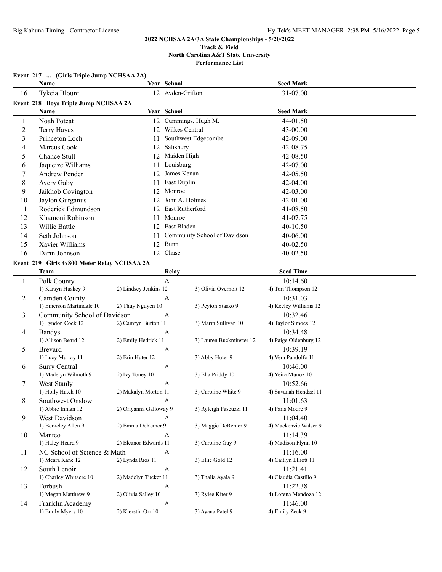## **Event 217 ... (Girls Triple Jump NCHSAA 2A) Name Year School Seed Mark** 16 Tykeia Blount 12 Ayden-Grifton 31-07.00 **Event 218 Boys Triple Jump NCHSAA 2A Name Year School Seed Mark** 1 Noah Poteat 12 Cummings, Hugh M. 44-01.50 2 Terry Hayes 12 Wilkes Central 43-00.00 3 Princeton Loch 11 Southwest Edgecombe 42-09.00 4 Marcus Cook 12 Salisbury 42-08.75 5 Chance Stull 12 Maiden High 42-08.50 6 Jaqueize Williams 11 Louisburg 42-07.00 7 Andrew Pender 12 James Kenan 42-05.50 8 Avery Gaby 11 East Duplin 42-04.00 9 Jaikhob Covington 12 Monroe 42-03.00 10 Jaylon Gurganus 12 John A. Holmes 42-01.00<br>11 Roderick Edmundson 12 East Rutherford 41-08 50 11 Roderick Edmundson 12 East Rutherford 41-08.50 12 Khamoni Robinson 11 Monroe 41-07.75 13 Willie Battle 12 East Bladen 40-10.50 14 Seth Johnson 11 Community School of Davidson 40-06.00 15 Xavier Williams 12 Bunn 40-02.50 16 Darin Johnson 12 Chase 40-02.50 **Event 219 Girls 4x800 Meter Relay NCHSAA 2A Team Relay Seed Time** 1 Polk County **A** 10:14.60 1) Karsyn Huskey 9 2) Lindsey Jenkins 12 3) Olivia Overholt 12 4) Tori Thompson 12 2 Camden County A 10:31.03 1) Emerson Martindale 10 2) Thuy Nguyen 10 3) Peyton Stasko 9 4) Keeley Williams 12 3 Community School of Davidson A 10:32.46 1) Lyndon Cock 12 2) Camryn Burton 11 3) Marin Sullivan 10 4) Taylor Simoes 12 4 Bandys A 10:34.48 1) Allison Beard 12 2) Emily Hedrick 11 3) Lauren Buckminster 12 4) Paige Oldenburg 12 5 Brevard A 10:39.19 1) Lucy Murray 11 2) Erin Huter 12 3) Abby Huter 9 4) Vera Pandolfo 11 6 Surry Central A 10:46.00 1) Madelyn Wilmoth 9 2) Ivy Toney 10 3) Ella Priddy 10 4) Yeira Munoz 10 7 West Stanly A 10:52.66 1) Holly Hatch 10 2) Makalyn Morton 11 3) Caroline White 9 4) Savanah Hendzel 11 8 Southwest Onslow A 11:01.63 1) Abbie Inman 12 2) Oriyanna Galloway 9 3) Ryleigh Pascuzzi 11 4) Paris Moore 9 9 West Davidson A 11:04.40 1) Berkeley Allen 9 2) Emma DeRemer 9 3) Maggie DeRemer 9 4) Mackenzie Walser 9 10 Manteo A 11:14.39 1) Haley Heard 9 2) Eleanor Edwards 11 3) Caroline Gay 9 4) Madison Flynn 10 11 NC School of Science & Math A 11:16.00 1) Meara Kane 12 2) Lynda Rios 11 3) Ellie Gold 12 4) Caitlyn Elliott 11 12 South Lenoir A 11:21.41 1) Charley Whitacre 10 2) Madelyn Tucker 11 3) Thalia Ayala 9 4) Claudia Castillo 9 13 Forbush A 11:22.38 1) Megan Matthews 9 2) Olivia Salley 10 3) Rylee Kiter 9 4) Lorena Mendoza 12

14 Franklin Academy A 11:46.00 1) Emily Myers 10 2) Kierstin Orr 10 3) Ayana Patel 9 4) Emily Zeck 9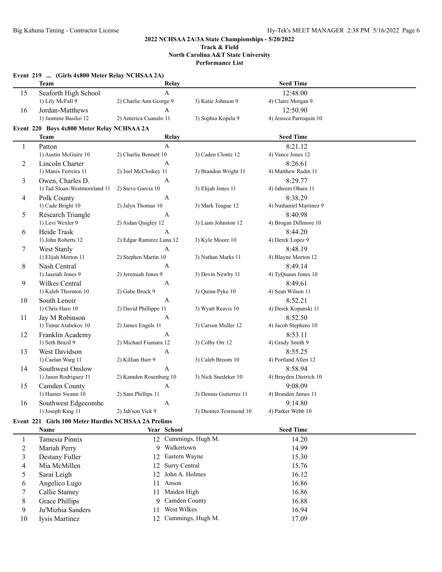|                | Event 219  (Girls 4x800 Meter Relay NCHSAA 2A) |                          |                        |                         |  |
|----------------|------------------------------------------------|--------------------------|------------------------|-------------------------|--|
|                | <b>Team</b>                                    | Relay                    |                        | <b>Seed Time</b>        |  |
| 15             | Seaforth High School                           | $\mathbf A$              |                        | 12:48.00                |  |
|                | 1) Lily McFall 9                               | 2) Charlie Ann George 9  | 3) Katie Johnson 9     | 4) Claire Morgan 9      |  |
| 16             | Jordan-Matthews                                | A                        |                        | 12:50.90                |  |
|                | 1) Jasmine Basilio 12                          | 2) America Cuanalo 11    | 3) Sophia Kopela 9     | 4) Jessica Parroquin 10 |  |
|                | Event 220 Boys 4x800 Meter Relay NCHSAA 2A     |                          |                        |                         |  |
|                | Team                                           | Relay                    |                        | <b>Seed Time</b>        |  |
| $\mathbf{1}$   | Patton                                         | $\mathbf{A}$             |                        | 8:21.12                 |  |
|                | 1) Austin McGuire 10                           | 2) Charlie Bennett 10    | 3) Caden Clontz 12     | 4) Vance Jones 12       |  |
| 2              | Lincoln Charter                                | $\mathbf{A}$             |                        | 8:26.61                 |  |
|                | 1) Manix Ferreira 11                           | 2) Joel McCloskey 11     | 3) Brandon Wright 11   | 4) Matthew Radin 11     |  |
| 3              | Owen, Charles D.                               | A                        |                        | 8:29.77                 |  |
|                | 1) Tad Sloan-Westmoreland 11                   | 2) Steve Garcia 10       | 3) Elijah Jones 11     | 4) Jaheem Ohara 11      |  |
| $\overline{4}$ | Polk County                                    | A                        |                        | 8:38.29                 |  |
|                | 1) Cade Bright 10                              | 2) Jalyn Thomas 10       | 3) Mark Teague 12      | 4) Nathaniel Martinez 9 |  |
| 5              | Research Triangle                              | A                        |                        | 8:40.98                 |  |
|                | 1) Levi Wexler 9                               | 2) Aidan Quigley 12      | 3) Liam Johnston 12    | 4) Brogan Dillmore 10   |  |
| 6              | Heide Trask                                    | $\mathbf{A}$             |                        | 8:44.20                 |  |
|                | 1) John Roberts 12                             | 2) Edgar Ramirez Luna 12 | 3) Kyle Moore 10       | 4) Derek Lopez 9        |  |
| $\tau$         | West Stanly                                    | $\overline{A}$           |                        | 8:48.19                 |  |
|                | 1) Elijah Morton 11                            | 2) Stephen Martin 10     | 3) Nathan Marks 11     | 4) Blayne Morton 12     |  |
| 8              | Nash Central                                   | A                        |                        | 8:49.14                 |  |
|                | 1) Jaaziah Jones 9                             | 2) Jeremiah Jones 9      | 3) Devin Newby 11      | 4) TyQuaun Jones 10     |  |
| 9              | Wilkes Central                                 | A                        |                        | 8:49.61                 |  |
|                | 1) Kaleb Thornton 10                           | 2) Gabe Brock 9          | 3) Quinn Pyke 10       | 4) Sean Wilson 11       |  |
| 10             | South Lenoir                                   | A                        |                        | 8:52.21                 |  |
|                | 1) Chris Haro 10                               | 2) David Phillippe 11    | 3) Wyatt Reavis 10     | 4) Derek Kopanski 11    |  |
| 11             | Jay M Robinson                                 | A                        |                        | 8:52.50                 |  |
|                | 1) Timur Atabekov 10                           | 2) James Engels 11       | 3) Carson Muller 12    | 4) Jacob Stephens 10    |  |
| 12             | Franklin Academy                               | A                        |                        | 8:53.11                 |  |
|                | 1) Seth Brazil 9                               | 2) Michael Fiumara 12    | 3) Colby Orr 12        | 4) Grady Smith 9        |  |
| 13             | West Davidson                                  | A                        |                        | 8:55.25                 |  |
|                | 1) Caelan Warg 11                              | 2) Killian Burr 9        | 3) Caleb Broom 10      | 4) Portland Allen 12    |  |
| 14             | Southwest Onslow                               | A                        |                        | 8:58.94                 |  |
|                | 1) Jason Rodriguez 11                          | 2) Kamden Rosenburg 10   | 3) Nick Snedeker 10    | 4) Brayden Dietrich 10  |  |
| 15             | Camden County                                  | $\mathbf{A}$             |                        | 9:08.09                 |  |
|                | 1) Hunter Swann 10                             | 2) Sam Phillips 11       | 3) Dennis Gutierrez 11 | 4) Branden James 11     |  |
| 16             | Southwest Edgecombe                            | A                        |                        | 9:14.80                 |  |
|                | 1) Joseph King 11                              | 2) Jah'son Vick 9        | 3) Diontez Townsend 10 | 4) Parker Webb 10       |  |

# **Event 221 Girls 100 Meter Hurdles NCHSAA 2A Prelims**

|    | Name              |     | <b>Year School</b>   | <b>Seed Time</b> |  |
|----|-------------------|-----|----------------------|------------------|--|
|    | Tamesia Pinnix    |     | 12 Cummings, Hugh M. | 14.20            |  |
| 2  | Mariah Perry      |     | 9 Walkertown         | 14.99            |  |
|    | Destany Fuller    |     | 12 Eastern Wayne     | 15.30            |  |
| 4  | Mia McMillen      |     | 12 Surry Central     | 15.76            |  |
|    | Sarai Leigh       |     | 12 John A. Holmes    | 16.12            |  |
| 6  | Angelico Lugo     | 11  | Anson                | 16.86            |  |
|    | Callie Stamey     | 11  | Maiden High          | 16.86            |  |
| 8  | Grace Phillips    |     | 9 Camden County      | 16.88            |  |
| 9  | Ju'Mizhia Sanders | 11  | West Wilkes          | 16.94            |  |
| 10 | Iysis Martinez    | 12. | Cummings, Hugh M.    | 17.09            |  |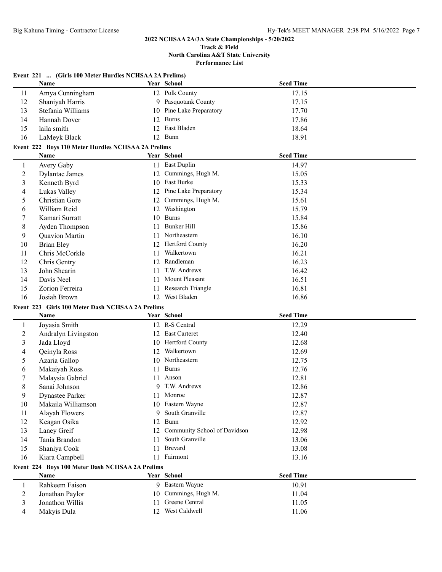#### **Track & Field North Carolina A&T State University Performance List**

|                | Event 221  (Girls 100 Meter Hurdles NCHSAA 2A Prelims)<br>Name |    | Year School                     | <b>Seed Time</b> |  |
|----------------|----------------------------------------------------------------|----|---------------------------------|------------------|--|
| 11             | Amya Cunningham                                                |    | 12 Polk County                  | 17.15            |  |
| 12             | Shaniyah Harris                                                |    | 9 Pasquotank County             | 17.15            |  |
| 13             | Stefania Williams                                              |    | 10 Pine Lake Preparatory        | 17.70            |  |
| 14             | Hannah Dover                                                   | 12 | <b>Burns</b>                    | 17.86            |  |
| 15             | laila smith                                                    |    | 12 East Bladen                  | 18.64            |  |
| 16             | LaMeyk Black                                                   |    | 12 Bunn                         | 18.91            |  |
|                | Event 222 Boys 110 Meter Hurdles NCHSAA 2A Prelims             |    |                                 |                  |  |
|                | <b>Name</b>                                                    |    | Year School                     | <b>Seed Time</b> |  |
| -1             | Avery Gaby                                                     |    | 11 East Duplin                  | 14.97            |  |
| $\overline{2}$ | <b>Dylantae James</b>                                          |    | 12 Cummings, Hugh M.            | 15.05            |  |
| 3              | Kenneth Byrd                                                   |    | 10 East Burke                   | 15.33            |  |
| 4              | Lukas Valley                                                   |    | 12 Pine Lake Preparatory        | 15.34            |  |
| 5              | Christian Gore                                                 |    | 12 Cummings, Hugh M.            | 15.61            |  |
| 6              | William Reid                                                   |    | 12 Washington                   | 15.79            |  |
| 7              | Kamari Surratt                                                 |    | 10 Burns                        | 15.84            |  |
| 8              | Ayden Thompson                                                 | 11 | <b>Bunker Hill</b>              | 15.86            |  |
| 9              | Quavion Martin                                                 | 11 | Northeastern                    | 16.10            |  |
| 10             | <b>Brian Eley</b>                                              |    | 12 Hertford County              | 16.20            |  |
| 11             | Chris McCorkle                                                 | 11 | Walkertown                      | 16.21            |  |
| 12             | Chris Gentry                                                   |    | 12 Randleman                    | 16.23            |  |
| 13             | John Shearin                                                   | 11 | T.W. Andrews                    | 16.42            |  |
| 14             | Davis Neel                                                     | 11 | Mount Pleasant                  | 16.51            |  |
| 15             | Zorion Ferreira                                                | 11 | Research Triangle               | 16.81            |  |
| 16             | Josiah Brown                                                   |    | 12 West Bladen                  | 16.86            |  |
|                | Event 223 Girls 100 Meter Dash NCHSAA 2A Prelims               |    |                                 |                  |  |
|                | Name                                                           |    | Year School                     | <b>Seed Time</b> |  |
| $\mathbf{1}$   | Joyasia Smith                                                  |    | 12 R-S Central                  | 12.29            |  |
| $\overline{2}$ | Andralyn Livingston                                            | 12 | <b>East Carteret</b>            | 12.40            |  |
| 3              | Jada Lloyd                                                     |    | 10 Hertford County              | 12.68            |  |
| 4              | Qeinyla Ross                                                   | 12 | Walkertown                      | 12.69            |  |
| 5              | Azaria Gallop                                                  |    | 10 Northeastern                 | 12.75            |  |
| 6              | Makaiyah Ross                                                  | 11 | <b>Burns</b>                    | 12.76            |  |
| 7              | Malaysia Gabriel                                               | 11 | Anson                           |                  |  |
|                |                                                                |    |                                 | 12.81            |  |
| 8              | Sanai Johnson                                                  |    | 9 T.W. Andrews                  | 12.86            |  |
| Q              | <b>Dynastee Parker</b>                                         |    | 11 Monroe                       | 12.87            |  |
| 10             |                                                                |    | 10 Eastern Wayne                |                  |  |
| 11             | Makaila Williamson                                             |    | 9 South Granville               | 12.87<br>12.87   |  |
| 12             | Alayah Flowers                                                 | 12 | Bunn                            | 12.92            |  |
| 13             | Keagan Osika<br>Laney Greif                                    |    | 12 Community School of Davidson | 12.98            |  |
|                | Tania Brandon                                                  | 11 | South Granville                 |                  |  |
| 14<br>15       | Shaniya Cook                                                   | 11 | Brevard                         | 13.06<br>13.08   |  |
|                |                                                                |    | 11 Fairmont                     |                  |  |
| 16             | Kiara Campbell                                                 |    |                                 | 13.16            |  |
|                | Event 224 Boys 100 Meter Dash NCHSAA 2A Prelims<br>Name        |    | Year School                     | <b>Seed Time</b> |  |
| 1              |                                                                |    | 9 Eastern Wayne                 |                  |  |
| $\overline{2}$ | Rahkeem Faison                                                 |    | 10 Cummings, Hugh M.            | 10.91            |  |
| 3              | Jonathan Paylor<br>Jonathon Willis                             | 11 | Greene Central                  | 11.04<br>11.05   |  |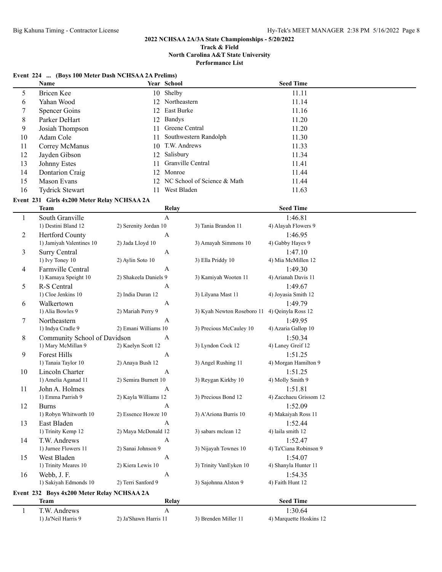#### **Track & Field North Carolina A&T State University Performance List**

## **Event 224 ... (Boys 100 Meter Dash NCHSAA 2A Prelims) Name Year School Seed Time** 5 Bricen Kee 10 Shelby 11.11 6 Yahan Wood 12 Northeastern 11.14 7 Spencer Goins 12 East Burke 11.16 8 Parker DeHart 12 Bandys 11.20 9 Josiah Thompson 11 Greene Central 11.20 10 Adam Cole 11 Southwestern Randolph 11.30 11 Correy McManus 10 T.W. Andrews 11.33 12 Jayden Gibson 12 Salisbury 11.34 13 Johnny Estes 11.41 Granville Central 11.41 14 Dontarion Craig 12 Monroe 11.44 15 Mason Evans 12 NC School of Science & Math 11.44 16 Tydrick Stewart 11 West Bladen 11.63 **Event 231 Girls 4x200 Meter Relay NCHSAA 2A Team Relay Relay Seed Time** 1 South Granville 11 South Granville 12 2) Serenity Jordan 10 3) Tania Brandon 11 4) Alayah Flower 2) Serenity Jordan 10 3) Tania Brandon 11 4) Alayah Flowers 9 2 Hertford County A 1:46.95 1) Jamiyah Valentines 10 2) Jada Lloyd 10 3) Amayah Simmons 10 4) Gabby Hayes 9 3 Surry Central A 1:47.10 1) Ivy Toney 10 2) Aylin Soto 10 3) Ella Priddy 10 4) Mia McMillen 12 4 Farmville Central A 1:49.30 1) Kamaya Speight 10 2) Shakeela Daniels 9 3) Kamiyah Wooten 11 5 R-S Central A 1:49.67 1) Cloe Jenkins 10 2) India Duran 12 3) Lilyana Mast 11 4) Joyasia Smith 12 6 Walkertown A 1:49.79 1) Alia Bowles 9 2) Mariah Perry 9 3) Kyah Newton Roseboro 11 4) Qeinyla Ross 12 7 Northeastern A 1:49.95 1) Indya Cradle 9 2) Emani Williams 10 3) Precious McCauley 10 4) Azaria Gallop 10 8 Community School of Davidson A 1:50.34 1) Mary McMillan 9 2) Kaelyn Scott 12 3) Lyndon Cock 12 4) Laney Greif 12 9 Forest Hills A 1:51.25 1) Tanaia Taylor 10 2) Anaya Bush 12 3) Angel Rushing 11 4) Morgan Hamilton 9 10 Lincoln Charter A 1:51.25 1) Amelia Aganad 11 2) Semira Burnett 10 3) Reygan Kirkby 10 4) Molly Smith 9 11 John A. Holmes A 1:51.81 1) Emma Parrish 9 2) Kayla Williams 12 3) Precious Bond 12 4) Zacchaeu Grissom 12 12 Burns **A** 1:52.09 1) Robyn Whitworth 10 2) Essence Howze 10 3) A'Ariona Burris 10 4) Makaiyah Ross 11 13 East Bladen A 1:52.44 1) Trinity Kemp 12 2) Maya McDonald 12 3) sabars mclean 12 4) laila smith 12 14 T.W. Andrews 11 152.47<br>11 152.47<br>11 152.47<br>11 20 Sanai Johnson 9 13 Nijayah Townes 10 17 4 Ta'Ciana Robis 2) Sanai Johnson 9 3) Nijayah Townes 10 4) Ta'Ciana Robinson 9 15 West Bladen A 1:54.07 1) Trinity Meares 10 2) Kiera Lewis 10 3) Trinity VanEyken 10 4) Shanyla Hunter 11 16 Webb, J. F. A 1:54.35 1) Sakiyah Edmonds 10 2) Terri Sanford 9 3) Sajohnna Alston 9 4) Faith Hunt 12 **Event 232 Boys 4x200 Meter Relay NCHSAA 2A Team Seed Time Relay Relay Seed Time** 1 T.W. Andrews A 1:30.64

1) Ja'Neil Harris 9 2) Ja'Shawn Harris 11 3) Brenden Miller 11 4) Marquette Hoskins 12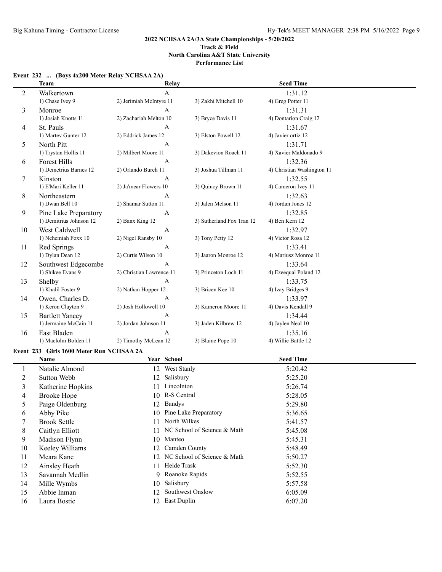**Performance List**

## **Event 232 ... (Boys 4x200 Meter Relay NCHSAA 2A)**

|                          | <b>Team</b>                              | Relay                    |                                | <b>Seed Time</b>           |  |
|--------------------------|------------------------------------------|--------------------------|--------------------------------|----------------------------|--|
| $\overline{2}$           | Walkertown                               | $\mathbf{A}$             |                                | 1:31.12                    |  |
|                          | 1) Chase Ivey 9                          | 2) Jerimiah McIntyre 11  | 3) Zakhi Mitchell 10           | 4) Greg Potter 11          |  |
| 3                        | Monroe                                   | A                        |                                | 1:31.31                    |  |
|                          | 1) Josiah Knotts 11                      | 2) Zachariah Melton 10   | 3) Bryce Davis 11              | 4) Dontarion Craig 12      |  |
| 4                        | St. Pauls                                | A                        |                                | 1:31.67                    |  |
|                          | 1) Martev Gunter 12                      | 2) Eddrick James 12      | 3) Elston Powell 12            | 4) Javier ortiz 12         |  |
| 5                        | North Pitt                               | A                        |                                | 1:31.71                    |  |
|                          | 1) Trystan Hollis 11                     | 2) Milbert Moore 11      | 3) Dakevion Roach 11           | 4) Xavier Maldonado 9      |  |
| 6                        | <b>Forest Hills</b>                      | A                        |                                | 1:32.36                    |  |
|                          | 1) Demetrius Barnes 12                   | 2) Orlando Burch 11      | 3) Joshua Tillman 11           | 4) Christian Washington 11 |  |
| 7                        | Kinston                                  | A                        |                                | 1:32.55                    |  |
|                          | 1) E'Mari Keller 11                      | 2) Ja'mear Flowers 10    | 3) Quincy Brown 11             | 4) Cameron Ivey 11         |  |
| 8                        | Northeastern                             | A                        |                                | 1:32.63                    |  |
|                          | 1) Dwan Bell 10                          | 2) Shamar Sutton 11      | 3) Jalen Melson 11             | 4) Jordan Jones 12         |  |
| 9                        | Pine Lake Preparatory                    | A                        |                                | 1:32.85                    |  |
|                          | 1) Demitrius Johnson 12                  | 2) Banx King 12          | 3) Sutherland Fox Tran 12      | 4) Ben Kern 12             |  |
| 10                       | West Caldwell                            | A                        |                                | 1:32.97                    |  |
|                          | 1) Nehemiah Foxx 10                      | 2) Nigel Ransby 10       | 3) Tony Petty 12               | 4) Victor Rosa 12          |  |
| 11                       | Red Springs                              | A                        |                                | 1:33.41                    |  |
|                          | 1) Dylan Dean 12                         | 2) Curtis Wilson 10      | 3) Jaaron Monroe 12            | 4) Mariusz Monroe 11       |  |
| 12                       | Southwest Edgecombe                      | A                        |                                | 1:33.64                    |  |
|                          | 1) Shikee Evans 9                        | 2) Christian Lawrence 11 | 3) Princeton Loch 11           | 4) Ezeequal Poland 12      |  |
| 13                       | Shelby                                   | A                        |                                | 1:33.75                    |  |
|                          | 1) Khalil Foster 9                       | 2) Nathan Hopper 12      | 3) Bricen Kee 10               | 4) Izay Bridges 9          |  |
| 14                       | Owen, Charles D.                         | A                        |                                | 1:33.97                    |  |
|                          | 1) Keron Clayton 9                       | 2) Josh Hollowell 10     | 3) Kameron Moore 11            | 4) Davis Kendall 9         |  |
| 15                       | <b>Bartlett Yancey</b>                   | A                        |                                | 1:34.44                    |  |
|                          | 1) Jermaine McCain 11                    | 2) Jordan Johnson 11     | 3) Jaden Kilbrew 12            | 4) Jaylen Neal 10          |  |
| 16                       | East Bladen                              | A                        |                                | 1:35.16                    |  |
|                          | 1) Maclolm Bolden 11                     | 2) Timothy McLean 12     | 3) Blaine Pope 10              | 4) Willie Battle 12        |  |
|                          | Event 233 Girls 1600 Meter Run NCHSAA 2A |                          |                                |                            |  |
|                          | Name                                     | Year School              |                                | <b>Seed Time</b>           |  |
| $\mathbf{1}$             | Natalie Almond                           | 12 West Stanly           |                                | 5:20.42                    |  |
| $\overline{c}$           | Sutton Webb                              | Salisbury<br>12          |                                | 5:25.20                    |  |
| $\mathfrak{Z}$           | Katherine Hopkins                        | 11 Lincolnton            |                                | 5:26.74                    |  |
| $\overline{\mathcal{A}}$ | <b>Brooke Hope</b>                       | 10 R-S Central           |                                | 5:28.05                    |  |
| 5                        | Paige Oldenburg                          | 12 Bandys                |                                | 5:29.80                    |  |
| 6                        | Abby Pike                                |                          | 10 Pine Lake Preparatory       | 5:36.65                    |  |
| $\overline{7}$           | <b>Brook Settle</b>                      | 11 North Wilkes          |                                | 5:41.57                    |  |
| 8                        | Caitlyn Elliott                          |                          | 11 NC School of Science & Math | 5:45.08                    |  |
| 9                        | Madison Flynn                            | 10 Manteo                |                                | 5:45.31                    |  |
| 10                       | Keeley Williams                          | 12 Camden County         |                                | 5:48.49                    |  |
| 11                       | Meara Kane                               |                          | 12 NC School of Science & Math | 5:50.27                    |  |
| 12                       | Ainsley Heath                            | 11 Heide Trask           |                                | 5:52.30                    |  |
| 13                       | Savannah Medlin                          | Roanoke Rapids<br>9      |                                | 5:52.55                    |  |
| 14                       | Mille Wymbs                              | Salisbury<br>10          |                                | 5:57.58                    |  |
| 15                       | Abbie Inman                              | 12                       | Southwest Onslow               | 6:05.09                    |  |
| 16                       | Laura Bostic                             | 12 East Duplin           |                                | 6:07.20                    |  |
|                          |                                          |                          |                                |                            |  |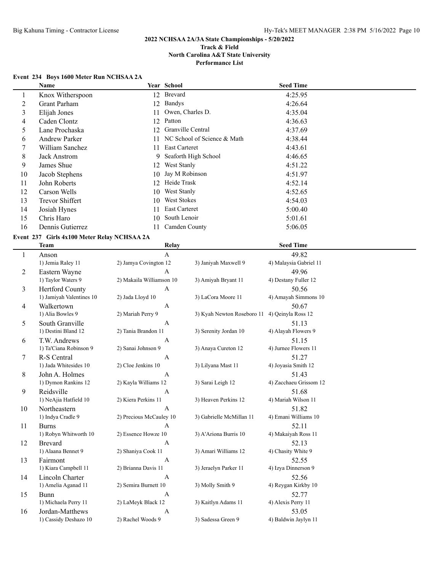**Performance List**

## **Event 234 Boys 1600 Meter Run NCHSAA 2A**

|                         | Name                                        |                          | Year School       |                             | <b>Seed Time</b>       |  |
|-------------------------|---------------------------------------------|--------------------------|-------------------|-----------------------------|------------------------|--|
| $\mathbf{1}$            | Knox Witherspoon                            |                          | 12 Brevard        |                             | 4:25.95                |  |
| $\overline{c}$          | <b>Grant Parham</b>                         | 12                       | <b>Bandys</b>     |                             | 4:26.64                |  |
| $\overline{\mathbf{3}}$ | Elijah Jones                                | 11                       | Owen, Charles D.  |                             | 4:35.04                |  |
| 4                       | Caden Clontz                                | 12                       | Patton            |                             | 4:36.63                |  |
| 5                       | Lane Prochaska                              | 12                       | Granville Central |                             | 4:37.69                |  |
| 6                       | <b>Andrew Parker</b>                        | 11                       |                   | NC School of Science & Math | 4:38.44                |  |
| 7                       | William Sanchez                             | 11                       | East Carteret     |                             | 4:43.61                |  |
| 8                       | <b>Jack Anstrom</b>                         | 9                        |                   | Seaforth High School        | 4:46.65                |  |
| 9                       | James Shue                                  | 12                       | West Stanly       |                             | 4:51.22                |  |
| 10                      | Jacob Stephens                              | 10                       | Jay M Robinson    |                             | 4:51.97                |  |
| 11                      | John Roberts                                | 12                       | Heide Trask       |                             | 4:52.14                |  |
| 12                      | Carson Wells                                | 10                       | West Stanly       |                             | 4:52.65                |  |
| 13                      | Trevor Shiffert                             | 10                       | West Stokes       |                             | 4:54.03                |  |
| 14                      |                                             |                          | East Carteret     |                             | 5:00.40                |  |
| 15                      | Josiah Hynes                                | 11                       | South Lenoir      |                             |                        |  |
|                         | Chris Haro                                  | 10                       | Camden County     |                             | 5:01.61                |  |
| 16                      | Dennis Gutierrez                            | 11                       |                   |                             | 5:06.05                |  |
|                         | Event 237 Girls 4x100 Meter Relay NCHSAA 2A |                          |                   |                             |                        |  |
|                         | <b>Team</b>                                 |                          | Relay             |                             | <b>Seed Time</b>       |  |
| $\mathbf{1}$            | Anson                                       |                          | $\overline{A}$    |                             | 49.82                  |  |
|                         | 1) Jemia Raley 11                           | 2) Jamya Covington 12    |                   | 3) Janiyah Maxwell 9        | 4) Malaysia Gabriel 11 |  |
| 2                       | Eastern Wayne                               |                          | A                 |                             | 49.96                  |  |
|                         | 1) Taylor Waters 9                          | 2) Makaila Williamson 10 |                   | 3) Amiyah Bryant 11         | 4) Destany Fuller 12   |  |
| 3                       | Hertford County                             |                          | $\mathbf{A}$      |                             | 50.56                  |  |
|                         | 1) Jamiyah Valentines 10                    | 2) Jada Lloyd 10         |                   | 3) LaCora Moore 11          | 4) Amayah Simmons 10   |  |
| 4                       | Walkertown                                  |                          | A                 |                             | 50.67                  |  |
|                         | 1) Alia Bowles 9                            | 2) Mariah Perry 9        |                   | 3) Kyah Newton Roseboro 11  | 4) Qeinyla Ross 12     |  |
| 5                       | South Granville                             |                          | A                 |                             | 51.13                  |  |
|                         | 1) Destini Bland 12                         | 2) Tania Brandon 11      |                   | 3) Serenity Jordan 10       | 4) Alayah Flowers 9    |  |
| 6                       | T.W. Andrews                                |                          | $\mathbf{A}$      |                             | 51.15                  |  |
|                         | 1) Ta'Ciana Robinson 9                      | 2) Sanai Johnson 9       |                   | 3) Anaya Cureton 12         | 4) Jurnee Flowers 11   |  |
| 7                       | R-S Central                                 |                          | A                 |                             | 51.27                  |  |
|                         | 1) Jada Whitesides 10                       | 2) Cloe Jenkins 10       |                   | 3) Lilyana Mast 11          | 4) Joyasia Smith 12    |  |
| 8                       | John A. Holmes                              |                          | A                 |                             | 51.43                  |  |
|                         | 1) Dymon Rankins 12                         | 2) Kayla Williams 12     |                   | 3) Sarai Leigh 12           | 4) Zacchaeu Grissom 12 |  |
| 9                       | Reidsville                                  |                          | A                 |                             | 51.68                  |  |
|                         | 1) NeAjia Hatfield 10                       | 2) Kiera Perkins 11      |                   | 3) Heaven Perkins 12        | 4) Mariah Wilson 11    |  |
| 10                      | Northeastern                                |                          | А                 |                             | 51.82                  |  |
|                         | 1) Indya Cradle 9                           | 2) Precious McCauley 10  |                   | 3) Gabrielle McMillan 11    | 4) Emani Williams 10   |  |
| 11                      | <b>Burns</b>                                |                          | $\mathbf{A}$      |                             | 52.11                  |  |
|                         | 1) Robyn Whitworth 10                       | 2) Essence Howze 10      |                   | 3) A'Ariona Burris 10       | 4) Makaiyah Ross 11    |  |
| 12                      | <b>Brevard</b>                              |                          | $\mathbf{A}$      |                             | 52.13                  |  |
|                         | 1) Alaana Bennet 9                          | 2) Shaniya Cook 11       |                   | 3) Amari Williams 12        | 4) Chasity White 9     |  |
| 13                      | Fairmont                                    |                          | $\boldsymbol{A}$  |                             | 52.55                  |  |
|                         | 1) Kiara Campbell 11                        | 2) Brianna Davis 11      |                   | 3) Jeraelyn Parker 11       | 4) Izya Dinnerson 9    |  |
| 14                      | Lincoln Charter                             |                          | $\boldsymbol{A}$  |                             | 52.56                  |  |
|                         | 1) Amelia Aganad 11                         | 2) Semira Burnett 10     |                   | 3) Molly Smith 9            | 4) Reygan Kirkby 10    |  |
| 15                      | Bunn                                        |                          | $\boldsymbol{A}$  |                             | 52.77                  |  |
|                         | 1) Michaela Perry 11                        | 2) LaMeyk Black 12       |                   | 3) Kaitlyn Adams 11         | 4) Alexis Perry 11     |  |
| 16                      | Jordan-Matthews                             |                          | $\boldsymbol{A}$  |                             | 53.05                  |  |
|                         | 1) Cassidy Deshazo 10                       | 2) Rachel Woods 9        |                   | 3) Sadessa Green 9          | 4) Baldwin Jaylyn 11   |  |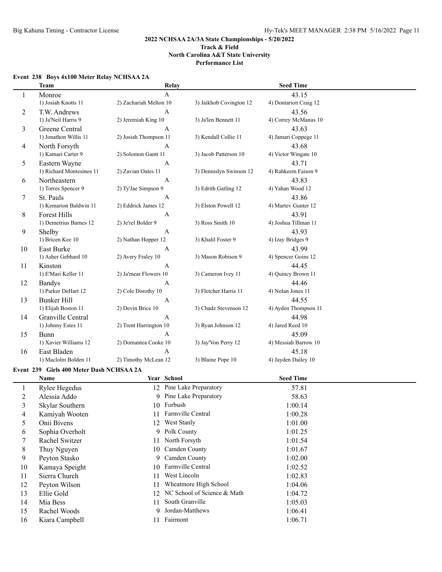## **Event 238 Boys 4x100 Meter Relay NCHSAA 2A**

|                | <b>Team</b>                              | Relay                  |                                | <b>Seed Time</b>      |  |
|----------------|------------------------------------------|------------------------|--------------------------------|-----------------------|--|
| 1              | Monroe                                   | $\mathbf{A}$           |                                | 43.15                 |  |
|                | 1) Josiah Knotts 11                      | 2) Zachariah Melton 10 | 3) Jaikhob Covington 12        | 4) Dontarion Craig 12 |  |
| 2              | T.W. Andrews                             | A                      |                                | 43.56                 |  |
|                | 1) Ja'Neil Harris 9                      | 2) Jeremiah King 10    | 3) Ja'len Bennett 11           | 4) Correy McManus 10  |  |
| 3              | Greene Central                           | A                      |                                | 43.63                 |  |
|                | 1) Jonathon Willis 11                    | 2) Josiah Thompson 11  | 3) Kendall Collie 11           | 4) Jamari Coppege 11  |  |
| 4              | North Forsyth                            | A                      |                                | 43.68                 |  |
|                | 1) Kamari Carter 9                       | 2) Solomon Gantt 11    | 3) Jacob Patterson 10          | 4) Victor Wingate 10  |  |
| 5              | Eastern Wayne                            | A                      |                                | 43.71                 |  |
|                | 1) Richard Montesinos 11                 | 2) Zavian Oates 11     | 3) Dennislyn Swinson 12        | 4) Rahkeem Faison 9   |  |
| 6              | Northeastern                             | A                      |                                | 43.83                 |  |
|                | 1) Torres Spencer 9                      | 2) Ty'Jae Simpson 9    | 3) Edrith Gatling 12           | 4) Yahan Wood 12      |  |
| 7              | St. Pauls                                | A                      |                                | 43.86                 |  |
|                | 1) Kemarion Baldwin 11                   | 2) Eddrick James 12    | 3) Elston Powell 12            | 4) Martev Gunter 12   |  |
| 8              | Forest Hills                             | A                      |                                | 43.91                 |  |
|                | 1) Demetrius Barnes 12                   | 2) Je'rel Bolder 9     | 3) Ross Smith 10               | 4) Joshua Tillman 11  |  |
| 9              | Shelby                                   | A                      |                                | 43.93                 |  |
|                | 1) Bricen Kee 10                         | 2) Nathan Hopper 12    | 3) Khalil Foster 9             | 4) Izay Bridges 9     |  |
| 10             | East Burke                               | A                      |                                | 43.99                 |  |
|                | 1) Asher Gebhard 10                      | 2) Avery Fraley 10     | 3) Mason Robison 9             | 4) Spencer Goins 12   |  |
| 11             | Kinston                                  | A                      |                                | 44.45                 |  |
|                | 1) E'Mari Keller 11                      | 2) Ja'mear Flowers 10  | 3) Cameron Ivey 11             | 4) Quincy Brown 11    |  |
| 12             | <b>Bandys</b>                            | A                      |                                | 44.46                 |  |
|                | 1) Parker DeHart 12                      | 2) Cole Dorothy 10     | 3) Fletcher Harris 11          | 4) Nolan Jones 11     |  |
| 13             | <b>Bunker Hill</b>                       | A                      |                                | 44.55                 |  |
|                | 1) Elijah Boston 11                      | 2) Devin Brice 10      | 3) Chadz Stevenson 12          | 4) Ayden Thompson 11  |  |
| 14             | Granville Central                        | A                      |                                | 44.98                 |  |
|                | 1) Johnny Estes 11                       | 2) Trent Harrington 10 | 3) Ryan Johnson 12             | 4) Jared Reed 10      |  |
| 15             | <b>Bunn</b>                              | A                      |                                | 45.09                 |  |
|                | 1) Xavier Williams 12                    | 2) Domantea Cooke 10   | 3) Jay'Von Perry 12            | 4) Messiah Barrow 10  |  |
| 16             | East Bladen                              | A                      |                                | 45.18                 |  |
|                | 1) Maclolm Bolden 11                     | 2) Timothy McLean 12   | 3) Blaine Pope 10              | 4) Jayden Dailey 10   |  |
|                |                                          |                        |                                |                       |  |
|                | Event 239 Girls 400 Meter Dash NCHSAA 2A |                        |                                |                       |  |
|                | Name                                     | Year School            |                                | <b>Seed Time</b>      |  |
| $\mathbf{1}$   | Rylee Hegedus                            |                        | 12 Pine Lake Preparatory       | 57.81                 |  |
| $\overline{c}$ | Alessia Addo                             |                        | 9 Pine Lake Preparatory        | 58.63                 |  |
| 3              | Skylar Southern                          | 10 Forbush             |                                | 1:00.14               |  |
| 4              | Kamiyah Wooten                           | 11 Farmville Central   |                                | 1:00.28               |  |
| 5              | Onii Bivens                              | 12 West Stanly         |                                | 1:01.00               |  |
| 6              | Sophia Overholt                          | Polk County<br>9       |                                | 1:01.25               |  |
| 7              | Rachel Switzer                           | North Forsyth<br>11    |                                | 1:01.54               |  |
| 8              | Thuy Nguyen                              | Camden County<br>10    |                                | 1:01.67               |  |
| 9              | Peyton Stasko                            | Camden County<br>9.    |                                | 1:02.00               |  |
| 10             | Kamaya Speight                           | 10                     | Farmville Central              | 1:02.52               |  |
| 11             | Sierra Church                            | West Lincoln<br>11     |                                | 1:02.83               |  |
| 12             | Peyton Wilson                            | 11                     | Wheatmore High School          | 1:04.06               |  |
| 13             | Ellie Gold                               |                        | 12 NC School of Science & Math | 1:04.72               |  |
| 14             | Mia Bess                                 | South Granville<br>11  |                                | 1:05.03               |  |
| 15             | Rachel Woods                             | 9                      | Jordan-Matthews                | 1:06.41               |  |
| 16             | Kiara Campbell                           | 11 Fairmont            |                                | 1:06.71               |  |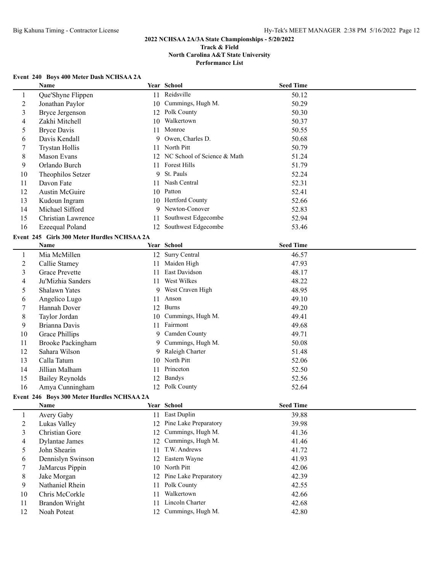## **Event 240 Boys 400 Meter Dash NCHSAA 2A**

|                | Event 240 Boys 400 Meter Dash NCHSAA 2A     |    |                                |                  |  |
|----------------|---------------------------------------------|----|--------------------------------|------------------|--|
|                | Name                                        |    | Year School                    | <b>Seed Time</b> |  |
| 1              | Que'Shyne Flippen                           |    | 11 Reidsville                  | 50.12            |  |
| $\overline{2}$ | Jonathan Paylor                             | 10 | Cummings, Hugh M.              | 50.29            |  |
| 3              | <b>Bryce Jergenson</b>                      |    | 12 Polk County                 | 50.30            |  |
| 4              | Zakhi Mitchell                              | 10 | Walkertown                     | 50.37            |  |
| 5              | <b>Bryce Davis</b>                          | 11 | Monroe                         | 50.55            |  |
| 6              | Davis Kendall                               | 9  | Owen, Charles D.               | 50.68            |  |
| 7              | <b>Trystan Hollis</b>                       | 11 | North Pitt                     | 50.79            |  |
| 8              | Mason Evans                                 |    | 12 NC School of Science & Math | 51.24            |  |
| 9              | Orlando Burch                               |    | 11 Forest Hills                | 51.79            |  |
| 10             | Theophilos Setzer                           | 9  | St. Pauls                      | 52.24            |  |
| 11             | Davon Fate                                  | 11 | Nash Central                   | 52.31            |  |
| 12             | Austin McGuire                              |    | 10 Patton                      | 52.41            |  |
| 13             | Kudoun Ingram                               | 10 | Hertford County                | 52.66            |  |
| 14             | Michael Sifford                             | 9  | Newton-Conover                 | 52.83            |  |
| 15             | Christian Lawrence                          | 11 | Southwest Edgecombe            | 52.94            |  |
| 16             | Ezeequal Poland                             |    | 12 Southwest Edgecombe         | 53.46            |  |
|                | Event 245 Girls 300 Meter Hurdles NCHSAA 2A |    |                                |                  |  |
|                | Name                                        |    | Year School                    | <b>Seed Time</b> |  |
| $\mathbf{1}$   | Mia McMillen                                |    | 12 Surry Central               | 46.57            |  |
| $\overline{2}$ | Callie Stamey                               | 11 | Maiden High                    | 47.93            |  |
| 3              | <b>Grace Prevette</b>                       | 11 | East Davidson                  | 48.17            |  |
| 4              | Ju'Mizhia Sanders                           | 11 | West Wilkes                    | 48.22            |  |
| 5              | <b>Shalawn Yates</b>                        | 9  | West Craven High               | 48.95            |  |
| 6              | Angelico Lugo                               | 11 | Anson                          | 49.10            |  |
| 7              | Hannah Dover                                |    | 12 Burns                       | 49.20            |  |
| 8              | Taylor Jordan                               | 10 | Cummings, Hugh M.              | 49.41            |  |
| 9              | Brianna Davis                               |    | 11 Fairmont                    | 49.68            |  |
| 10             | Grace Phillips                              |    | 9 Camden County                | 49.71            |  |
| 11             | <b>Brooke Packingham</b>                    |    | 9 Cummings, Hugh M.            | 50.08            |  |
| 12             | Sahara Wilson                               |    | 9 Raleigh Charter              | 51.48            |  |
| 13             | Calla Tatum                                 | 10 | North Pitt                     | 52.06            |  |
| 14             | Jillian Malham                              |    | 11 Princeton                   | 52.50            |  |
| 15             | <b>Bailey Reynolds</b>                      |    | 12 Bandys                      | 52.56            |  |
| 16             | Amya Cunningham                             |    | 12 Polk County                 | 52.64            |  |
|                | Event 246 Boys 300 Meter Hurdles NCHSAA 2A  |    |                                |                  |  |
|                | Name                                        |    | Year School                    | <b>Seed Time</b> |  |
| $\mathbf{1}$   | Avery Gaby                                  |    | 11 East Duplin                 | 39.88            |  |
| $\overline{2}$ | Lukas Valley                                |    | 12 Pine Lake Preparatory       | 39.98            |  |
| 3              | Christian Gore                              | 12 | Cummings, Hugh M.              | 41.36            |  |
| 4              | <b>Dylantae James</b>                       | 12 | Cummings, Hugh M.              | 41.46            |  |
| 5              | John Shearin                                | 11 | T.W. Andrews                   | 41.72            |  |
| 6              | Dennislyn Swinson                           | 12 | Eastern Wayne                  | 41.93            |  |
| 7              | JaMarcus Pippin                             | 10 | North Pitt                     | 42.06            |  |
| 8              | Jake Morgan                                 | 12 | Pine Lake Preparatory          | 42.39            |  |
| 9              | Nathaniel Rhein                             | 11 | Polk County                    | 42.55            |  |
| 10             | Chris McCorkle                              | 11 | Walkertown                     | 42.66            |  |
| 11             | <b>Brandon Wright</b>                       | 11 | Lincoln Charter                | 42.68            |  |
| 12             | Noah Poteat                                 |    | 12 Cummings, Hugh M.           | 42.80            |  |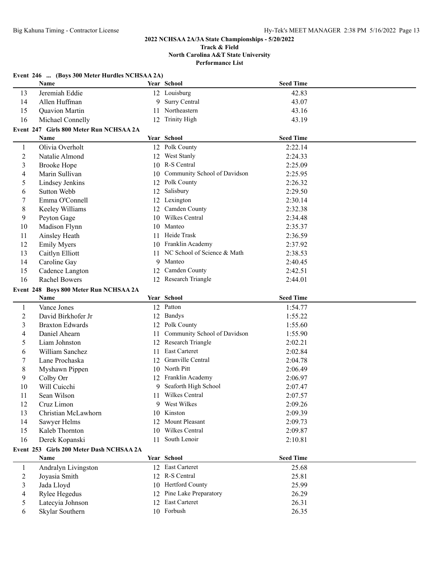#### **Track & Field North Carolina A&T State University Performance List**

|                | Event 246  (Boys 300 Meter Hurdles NCHSAA 2A) |    |                                 |                  |  |
|----------------|-----------------------------------------------|----|---------------------------------|------------------|--|
|                | Name                                          |    | Year School                     | <b>Seed Time</b> |  |
| 13             | Jeremiah Eddie                                |    | 12 Louisburg                    | 42.83            |  |
| 14             | Allen Huffman                                 | 9  | Surry Central                   | 43.07            |  |
| 15             | Quavion Martin                                |    | 11 Northeastern                 | 43.16            |  |
| 16             | Michael Connelly                              | 12 | <b>Trinity High</b>             | 43.19            |  |
|                | Event 247 Girls 800 Meter Run NCHSAA 2A       |    |                                 |                  |  |
|                | Name                                          |    | Year School                     | <b>Seed Time</b> |  |
| 1              | Olivia Overholt                               |    | 12 Polk County                  | 2:22.14          |  |
| $\overline{c}$ | Natalie Almond                                |    | 12 West Stanly                  | 2:24.33          |  |
| 3              | <b>Brooke Hope</b>                            |    | 10 R-S Central                  | 2:25.09          |  |
| 4              | Marin Sullivan                                |    | 10 Community School of Davidson | 2:25.95          |  |
| 5              | Lindsey Jenkins                               |    | 12 Polk County                  | 2:26.32          |  |
| 6              | <b>Sutton Webb</b>                            |    | 12 Salisbury                    | 2:29.50          |  |
| 7              | Emma O'Connell                                |    | 12 Lexington                    | 2:30.14          |  |
| 8              | Keeley Williams                               |    | 12 Camden County                | 2:32.38          |  |
| 9              | Peyton Gage                                   |    | 10 Wilkes Central               | 2:34.48          |  |
| 10             | Madison Flynn                                 |    | 10 Manteo                       | 2:35.37          |  |
| 11             | Ainsley Heath                                 |    | 11 Heide Trask                  | 2:36.59          |  |
| 12             | <b>Emily Myers</b>                            |    | 10 Franklin Academy             | 2:37.92          |  |
| 13             | Caitlyn Elliott                               |    | 11 NC School of Science & Math  | 2:38.53          |  |
| 14             | Caroline Gay                                  |    | 9 Manteo                        | 2:40.45          |  |
| 15             | Cadence Langton                               | 12 | Camden County                   | 2:42.51          |  |
| 16             | <b>Rachel Bowers</b>                          |    | 12 Research Triangle            | 2:44.01          |  |
|                | Event 248 Boys 800 Meter Run NCHSAA 2A        |    |                                 |                  |  |
|                | Name                                          |    | Year School                     | <b>Seed Time</b> |  |
|                |                                               |    |                                 |                  |  |
| $\mathbf{1}$   | Vance Jones                                   |    | 12 Patton                       | 1:54.77          |  |
| $\overline{c}$ | David Birkhofer Jr                            |    | 12 Bandys                       | 1:55.22          |  |
| 3              | <b>Braxton Edwards</b>                        |    | 12 Polk County                  | 1:55.60          |  |
| 4              | Daniel Ahearn                                 | 11 | Community School of Davidson    | 1:55.90          |  |
| 5              | Liam Johnston                                 | 12 | Research Triangle               | 2:02.21          |  |
| 6              | William Sanchez                               | 11 | East Carteret                   | 2:02.84          |  |
| 7              | Lane Prochaska                                | 12 | Granville Central               | 2:04.78          |  |
| 8              | Myshawn Pippen                                |    | 10 North Pitt                   | 2:06.49          |  |
| 9              | Colby Orr                                     |    | 12 Franklin Academy             | 2:06.97          |  |
| 10             | Will Cuicchi                                  |    | 9 Seaforth High School          | 2:07.47          |  |
| 11             | Sean Wilson                                   |    | 11 Wilkes Central               | 2:07.57          |  |
| 12             | Cruz Limon                                    |    | 9 West Wilkes                   | 2:09.26          |  |
| 13             | Christian McLawhorn                           |    | 10 Kinston                      | 2:09.39          |  |
| 14             | Sawyer Helms                                  |    | 12 Mount Pleasant               | 2:09.73          |  |
| 15             | Kaleb Thornton                                |    | 10 Wilkes Central               | 2:09.87          |  |
| 16             | Derek Kopanski                                | 11 | South Lenoir                    | 2:10.81          |  |
|                | Event 253 Girls 200 Meter Dash NCHSAA 2A      |    |                                 |                  |  |
|                | Name                                          |    | Year School                     | <b>Seed Time</b> |  |
| $\mathbf{1}$   | Andralyn Livingston                           |    | 12 East Carteret                | 25.68            |  |
| $\overline{c}$ | Joyasia Smith                                 |    | 12 R-S Central                  | 25.81            |  |
| 3              | Jada Lloyd                                    |    | 10 Hertford County              | 25.99            |  |
| 4              | Rylee Hegedus                                 |    | 12 Pine Lake Preparatory        | 26.29            |  |
| 5              | Latecyia Johnson<br>Skylar Southern           | 12 | East Carteret<br>10 Forbush     | 26.31            |  |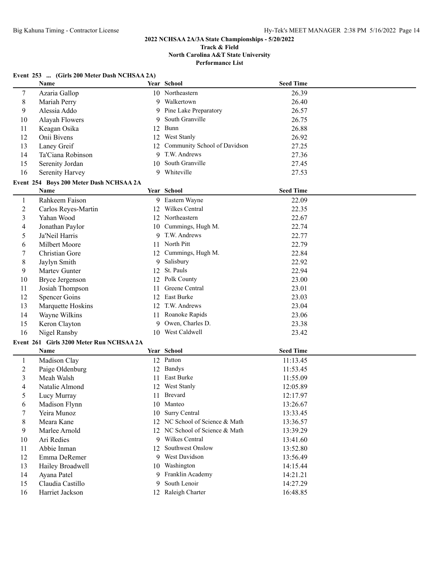#### **Track & Field North Carolina A&T State University Performance List**

#### **Event 253 ... (Girls 200 Meter Dash NCHSAA 2A)**

|                                         | Name                                     |    | Year School                    | <b>Seed Time</b> |  |  |  |
|-----------------------------------------|------------------------------------------|----|--------------------------------|------------------|--|--|--|
| 7                                       | Azaria Gallop                            |    | 10 Northeastern                | 26.39            |  |  |  |
| $8\,$                                   | Mariah Perry                             | 9  | Walkertown                     | 26.40            |  |  |  |
| 9                                       | Alessia Addo                             |    | 9 Pine Lake Preparatory        | 26.57            |  |  |  |
| 10                                      | Alayah Flowers                           | 9  | South Granville                | 26.75            |  |  |  |
| 11                                      | Keagan Osika                             | 12 | Bunn                           | 26.88            |  |  |  |
| 12                                      | Onii Bivens                              | 12 | West Stanly                    | 26.92            |  |  |  |
| 13                                      | Laney Greif                              | 12 | Community School of Davidson   | 27.25            |  |  |  |
| 14                                      | Ta'Ciana Robinson                        | 9  | T.W. Andrews                   | 27.36            |  |  |  |
| 15                                      | Serenity Jordan                          |    | 10 South Granville             | 27.45            |  |  |  |
| 16                                      | Serenity Harvey                          |    | 9 Whiteville                   | 27.53            |  |  |  |
| Event 254 Boys 200 Meter Dash NCHSAA 2A |                                          |    |                                |                  |  |  |  |
|                                         | Name                                     |    | Year School                    | <b>Seed Time</b> |  |  |  |
| $\mathbf{1}$                            | Rahkeem Faison                           |    | 9 Eastern Wayne                | 22.09            |  |  |  |
| $\overline{c}$                          | Carlos Reyes-Martin                      |    | 12 Wilkes Central              | 22.35            |  |  |  |
| 3                                       | Yahan Wood                               |    | 12 Northeastern                | 22.67            |  |  |  |
| 4                                       | Jonathan Paylor                          |    | 10 Cummings, Hugh M.           | 22.74            |  |  |  |
| 5                                       | Ja'Neil Harris                           |    | 9 T.W. Andrews                 | 22.77            |  |  |  |
| 6                                       | Milbert Moore                            |    | 11 North Pitt                  | 22.79            |  |  |  |
| 7                                       | Christian Gore                           |    | 12 Cummings, Hugh M.           | 22.84            |  |  |  |
| 8                                       | Jaylyn Smith                             | 9  | Salisbury                      | 22.92            |  |  |  |
| 9                                       | Martev Gunter                            | 12 | St. Pauls                      | 22.94            |  |  |  |
| 10                                      | <b>Bryce Jergenson</b>                   |    | 12 Polk County                 | 23.00            |  |  |  |
| 11                                      | Josiah Thompson                          | 11 | Greene Central                 | 23.01            |  |  |  |
| 12                                      | <b>Spencer Goins</b>                     | 12 | East Burke                     | 23.03            |  |  |  |
| 13                                      | Marquette Hoskins                        | 12 | T.W. Andrews                   | 23.04            |  |  |  |
| 14                                      | Wayne Wilkins                            | 11 | Roanoke Rapids                 | 23.06            |  |  |  |
| 15                                      | Keron Clayton                            | 9  | Owen, Charles D.               | 23.38            |  |  |  |
| 16                                      | Nigel Ransby                             |    | 10 West Caldwell               | 23.42            |  |  |  |
|                                         | Event 261 Girls 3200 Meter Run NCHSAA 2A |    |                                |                  |  |  |  |
|                                         | Name                                     |    | Year School                    | <b>Seed Time</b> |  |  |  |
| $\mathbf{1}$                            | Madison Clay                             |    | 12 Patton                      | 11:13.45         |  |  |  |
| $\overline{c}$                          | Paige Oldenburg                          |    | 12 Bandys                      | 11:53.45         |  |  |  |
| 3                                       | Meah Walsh                               | 11 | East Burke                     | 11:55.09         |  |  |  |
| 4                                       | Natalie Almond                           |    | 12 West Stanly                 | 12:05.89         |  |  |  |
| 5                                       | Lucy Murray                              |    | 11 Brevard                     | 12:17.97         |  |  |  |
| 6                                       | Madison Flynn                            |    | 10 Manteo                      | 13:26.67         |  |  |  |
| 7                                       | Yeira Munoz                              |    | 10 Surry Central               | 13:33.45         |  |  |  |
| 8                                       | Meara Kane                               |    | 12 NC School of Science & Math | 13:36.57         |  |  |  |
| 9                                       | Marlee Arnold                            |    | 12 NC School of Science & Math | 13:39.29         |  |  |  |
| 10                                      | Ari Redies                               |    | 9 Wilkes Central               | 13:41.60         |  |  |  |
| 11                                      | Abbie Inman                              | 12 | Southwest Onslow               | 13:52.80         |  |  |  |
| 12                                      | Emma DeRemer                             |    | 9 West Davidson                | 13:56.49         |  |  |  |
| 13                                      | Hailey Broadwell                         | 10 | Washington                     | 14:15.44         |  |  |  |
| 14                                      | Ayana Patel                              | 9. | Franklin Academy               | 14:21.21         |  |  |  |
| 15                                      | Claudia Castillo                         | 9  | South Lenoir                   | 14:27.29         |  |  |  |
| 16                                      | Harriet Jackson                          |    | 12 Raleigh Charter             | 16:48.85         |  |  |  |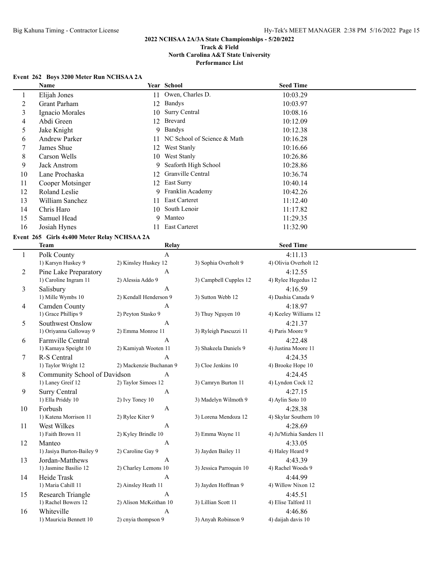## **Event 262 Boys 3200 Meter Run NCHSAA 2A**

|                          | Name                                              |                         | Year School                 |                         | <b>Seed Time</b>               |  |
|--------------------------|---------------------------------------------------|-------------------------|-----------------------------|-------------------------|--------------------------------|--|
| 1                        | Elijah Jones                                      |                         | Owen, Charles D.<br>11      |                         | 10:03.29                       |  |
| $\overline{c}$           | Grant Parham                                      | 12                      | Bandys                      |                         | 10:03.97                       |  |
| 3                        | Ignacio Morales                                   | 10                      | Surry Central               |                         | 10:08.16                       |  |
| $\overline{\mathcal{A}}$ | Abdi Green                                        | 12                      | Brevard                     |                         | 10:12.09                       |  |
| 5                        | Jake Knight                                       |                         | 9 Bandys                    |                         | 10:12.38                       |  |
| 6                        | Andrew Parker                                     | 11                      | NC School of Science & Math |                         | 10:16.28                       |  |
| 7                        | James Shue                                        | 12                      | West Stanly                 |                         | 10:16.66                       |  |
| 8                        | Carson Wells                                      | 10                      | West Stanly                 |                         | 10:26.86                       |  |
| 9                        | <b>Jack Anstrom</b>                               | 9                       | Seaforth High School        |                         | 10:28.86                       |  |
| 10                       | Lane Prochaska                                    | 12                      | Granville Central           |                         | 10:36.74                       |  |
| 11                       | Cooper Motsinger                                  | 12                      | East Surry                  |                         | 10:40.14                       |  |
| 12                       | Roland Leslie                                     | 9                       | Franklin Academy            |                         | 10:42.26                       |  |
| 13                       | William Sanchez                                   | 11                      | East Carteret               |                         | 11:12.40                       |  |
| 14                       | Chris Haro                                        | 10                      | South Lenoir                |                         | 11:17.82                       |  |
| 15                       | Samuel Head                                       | 9                       | Manteo                      |                         | 11:29.35                       |  |
| 16                       | Josiah Hynes                                      |                         | 11 East Carteret            |                         | 11:32.90                       |  |
|                          |                                                   |                         |                             |                         |                                |  |
|                          | Event 265 Girls 4x400 Meter Relay NCHSAA 2A       |                         |                             |                         |                                |  |
|                          | Team                                              |                         | Relay                       |                         | <b>Seed Time</b>               |  |
| $\mathbf{1}$             | Polk County                                       |                         | $\boldsymbol{\mathsf{A}}$   |                         | 4:11.13                        |  |
|                          | 1) Karsyn Huskey 9                                | 2) Kinsley Huskey 12    |                             | 3) Sophia Overholt 9    | 4) Olivia Overholt 12          |  |
| 2                        | Pine Lake Preparatory                             |                         | A                           |                         | 4:12.55                        |  |
|                          | 1) Caroline Ingram 11                             | 2) Alessia Addo 9       |                             | 3) Campbell Cupples 12  | 4) Rylee Hegedus 12            |  |
| 3                        | Salisbury                                         |                         | A                           |                         | 4:16.59                        |  |
|                          | 1) Mille Wymbs 10                                 | 2) Kendall Henderson 9  |                             | 3) Sutton Webb 12       | 4) Dashia Canada 9             |  |
| 4                        | Camden County                                     |                         | A                           |                         | 4:18.97                        |  |
|                          | 1) Grace Phillips 9                               | 2) Peyton Stasko 9      |                             | 3) Thuy Nguyen 10       | 4) Keeley Williams 12          |  |
| 5                        | Southwest Onslow                                  |                         | A                           |                         | 4:21.37                        |  |
|                          | 1) Oriyanna Galloway 9                            | 2) Emma Monroe 11       |                             | 3) Ryleigh Pascuzzi 11  | 4) Paris Moore 9               |  |
| 6                        | Farmville Central                                 |                         | A                           |                         | 4:22.48                        |  |
|                          | 1) Kamaya Speight 10                              | 2) Kamiyah Wooten 11    |                             | 3) Shakeela Daniels 9   | 4) Justina Moore 11            |  |
| 7                        | R-S Central                                       |                         | A                           |                         | 4:24.35                        |  |
|                          | 1) Taylor Wright 12                               | 2) Mackenzie Buchanan 9 |                             | 3) Cloe Jenkins 10      | 4) Brooke Hope 10              |  |
| 8                        | Community School of Davidson<br>1) Laney Greif 12 |                         | A                           |                         | 4:24.45                        |  |
|                          |                                                   | 2) Taylor Simoes 12     |                             | 3) Camryn Burton 11     | 4) Lyndon Cock 12              |  |
| 9                        | <b>Surry Central</b>                              |                         | A                           |                         | 4:27.15<br>4) Aylin Soto 10    |  |
|                          | 1) Ella Priddy 10                                 | 2) Ivy Toney 10         |                             | 3) Madelyn Wilmoth 9    |                                |  |
| 10                       | Forbush                                           |                         | A                           |                         | 4:28.38                        |  |
|                          | 1) Katena Morrison 11                             | 2) Rylee Kiter 9        |                             | 3) Lorena Mendoza 12    | 4) Skylar Southern 10          |  |
| 11                       | West Wilkes                                       |                         | $\mathbf{A}$                |                         | 4:28.69                        |  |
|                          | 1) Faith Brown 11                                 | 2) Kyley Brindle 10     |                             | 3) Emma Wayne 11        | 4) Ju'Mizhia Sanders 11        |  |
| 12                       | Manteo<br>1) Jasiya Burton-Bailey 9               | 2) Caroline Gay 9       | $\boldsymbol{A}$            |                         | 4:33.05                        |  |
|                          |                                                   |                         |                             | 3) Jayden Bailey 11     | 4) Haley Heard 9               |  |
| 13                       | Jordan-Matthews                                   | 2) Charley Lemons 10    | $\boldsymbol{A}$            | 3) Jessica Parroquin 10 | 4:43.39<br>4) Rachel Woods 9   |  |
|                          | 1) Jasmine Basilio 12                             |                         |                             |                         |                                |  |
| 14                       | Heide Trask                                       |                         | $\boldsymbol{\mathsf{A}}$   | 3) Jayden Hoffman 9     | 4:44.99                        |  |
|                          | 1) Maria Cahill 11                                | 2) Ainsley Heath 11     |                             |                         | 4) Willow Nixon 12             |  |
| 15                       | Research Triangle<br>1) Rachel Bowers 12          | 2) Alison McKeithan 10  | $\mathbf{A}$                | 3) Lillian Scott 11     | 4:45.51<br>4) Elise Talford 11 |  |
|                          |                                                   |                         |                             |                         | 4:46.86                        |  |
| 16                       | Whiteville<br>1) Mauricia Bennett 10              | 2) cnyia thompson 9     | $\boldsymbol{A}$            | 3) Anyah Robinson 9     | 4) daijah davis 10             |  |
|                          |                                                   |                         |                             |                         |                                |  |